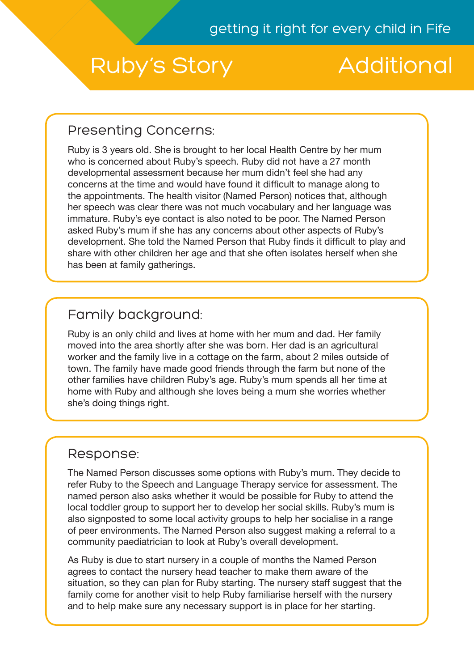# Ruby's Story Additional

# Presenting Concerns:

Ruby is 3 years old. She is brought to her local Health Centre by her mum who is concerned about Ruby's speech. Ruby did not have a 27 month developmental assessment because her mum didn't feel she had any concerns at the time and would have found it difficult to manage along to the appointments. The health visitor (Named Person) notices that, although her speech was clear there was not much vocabulary and her language was immature. Ruby's eye contact is also noted to be poor. The Named Person asked Ruby's mum if she has any concerns about other aspects of Ruby's development. She told the Named Person that Ruby finds it difficult to play and share with other children her age and that she often isolates herself when she has been at family gatherings.

# Family background:

Ruby is an only child and lives at home with her mum and dad. Her family moved into the area shortly after she was born. Her dad is an agricultural worker and the family live in a cottage on the farm, about 2 miles outside of town. The family have made good friends through the farm but none of the other families have children Ruby's age. Ruby's mum spends all her time at home with Ruby and although she loves being a mum she worries whether she's doing things right.

### Response:

The Named Person discusses some options with Ruby's mum. They decide to refer Ruby to the Speech and Language Therapy service for assessment. The named person also asks whether it would be possible for Ruby to attend the local toddler group to support her to develop her social skills. Ruby's mum is also signposted to some local activity groups to help her socialise in a range of peer environments. The Named Person also suggest making a referral to a community paediatrician to look at Ruby's overall development.

As Ruby is due to start nursery in a couple of months the Named Person agrees to contact the nursery head teacher to make them aware of the situation, so they can plan for Ruby starting. The nursery staff suggest that the family come for another visit to help Ruby familiarise herself with the nursery and to help make sure any necessary support is in place for her starting.